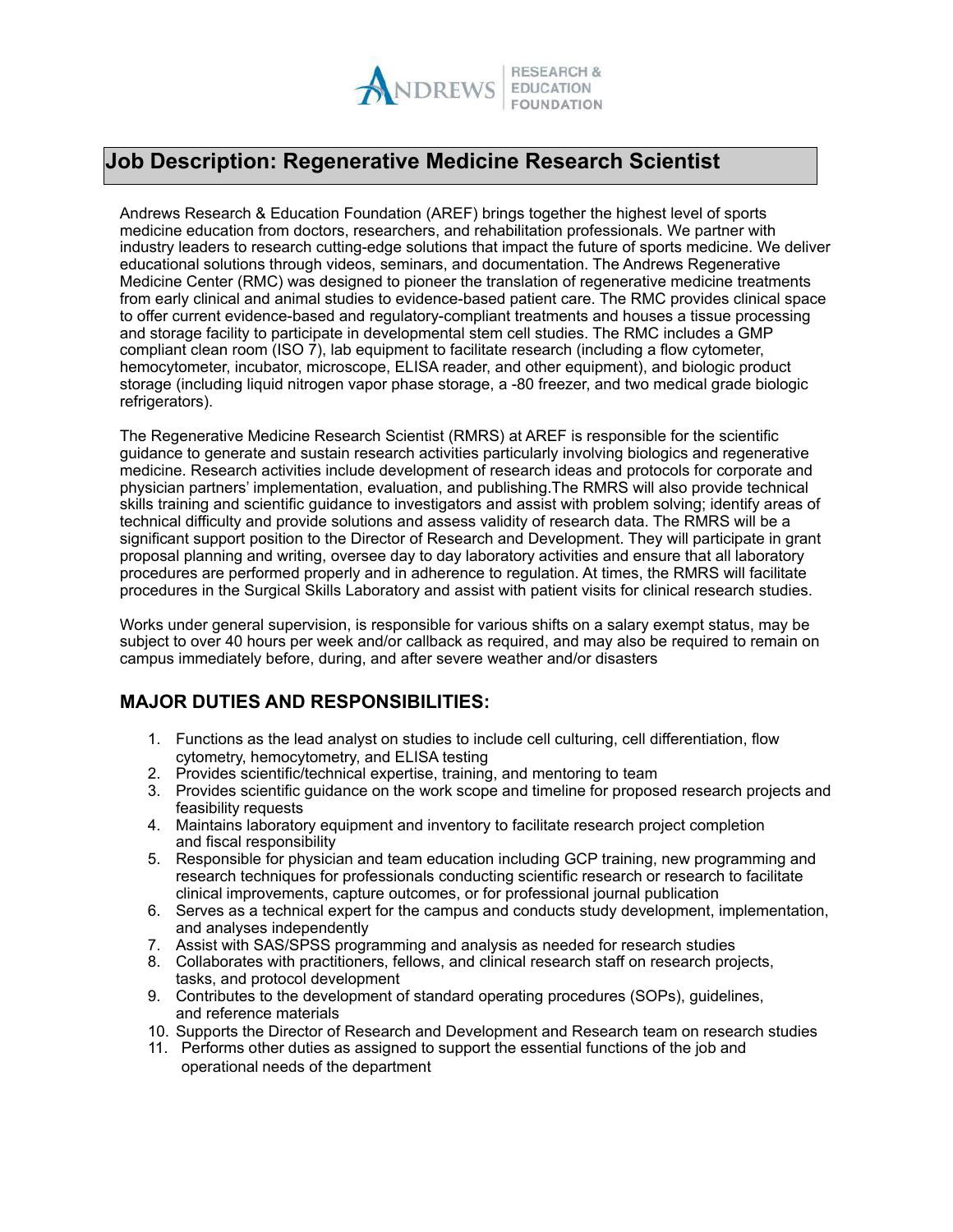

## **Job Description: Regenerative Medicine Research Scientist**

Andrews Research & Education Foundation (AREF) brings together the highest level of sports medicine education from doctors, researchers, and rehabilitation professionals. We partner with industry leaders to research cutting-edge solutions that impact the future of sports medicine. We deliver educational solutions through videos, seminars, and documentation. The Andrews Regenerative Medicine Center (RMC) was designed to pioneer the translation of regenerative medicine treatments from early clinical and animal studies to evidence-based patient care. The RMC provides clinical space to offer current evidence-based and regulatory-compliant treatments and houses a tissue processing and storage facility to participate in developmental stem cell studies. The RMC includes a GMP compliant clean room (ISO 7), lab equipment to facilitate research (including a flow cytometer, hemocytometer, incubator, microscope, ELISA reader, and other equipment), and biologic product storage (including liquid nitrogen vapor phase storage, a -80 freezer, and two medical grade biologic refrigerators).

The Regenerative Medicine Research Scientist (RMRS) at AREF is responsible for the scientific guidance to generate and sustain research activities particularly involving biologics and regenerative medicine. Research activities include development of research ideas and protocols for corporate and physician partners' implementation, evaluation, and publishing. The RMRS will also provide technical skills training and scientific guidance to investigators and assist with problem solving; identify areas of technical difficulty and provide solutions and assess validity of research data. The RMRS will be a significant support position to the Director of Research and Development. They will participate in grant proposal planning and writing, oversee day to day laboratory activities and ensure that all laboratory procedures are performed properly and in adherence to regulation. At times, the RMRS will facilitate procedures in the Surgical Skills Laboratory and assist with patient visits for clinical research studies.

Works under general supervision, is responsible for various shifts on a salary exempt status, may be subject to over 40 hours per week and/or callback as required, and may also be required to remain on campus immediately before, during, and after severe weather and/or disasters

## **MAJOR DUTIES AND RESPONSIBILITIES:**

- 1. Functions as the lead analyst on studies to include cell culturing, cell differentiation, flow cytometry, hemocytometry, and ELISA testing
- 2. Provides scientific/technical expertise, training, and mentoring to team
- 3. Provides scientific guidance on the work scope and timeline for proposed research projects and feasibility requests
- 4. Maintains laboratory equipment and inventory to facilitate research project completion and fiscal responsibility
- 5. Responsible for physician and team education including GCP training, new programming and research techniques for professionals conducting scientific research or research to facilitate clinical improvements, capture outcomes, or for professional journal publication
- 6. Serves as a technical expert for the campus and conducts study development, implementation, and analyses independently
- 7. Assist with SAS/SPSS programming and analysis as needed for research studies
- 8. Collaborates with practitioners, fellows, and clinical research staff on research projects, tasks, and protocol development
- 9. Contributes to the development of standard operating procedures (SOPs), guidelines, and reference materials
- 10. Supports the Director of Research and Development and Research team on research studies
- 11. Performs other duties as assigned to support the essential functions of the job and operational needs of the department